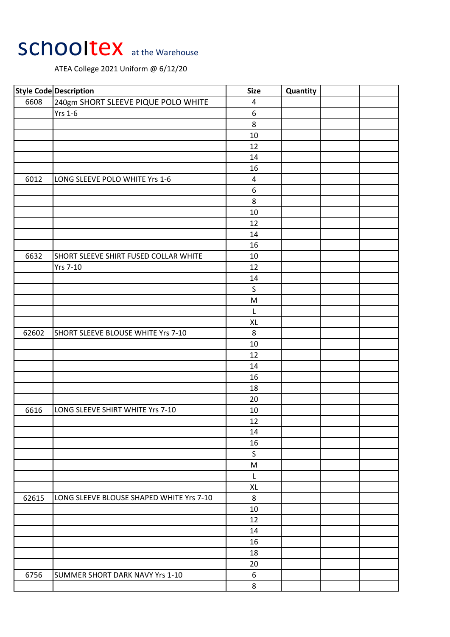## SChooltex at the Warehouse

ATEA College 2021 Uniform @ 6/12/20

|       | <b>Style Code Description</b>            | <b>Size</b>             | Quantity |  |
|-------|------------------------------------------|-------------------------|----------|--|
| 6608  | 240gm SHORT SLEEVE PIQUE POLO WHITE      | 4                       |          |  |
|       | <b>Yrs 1-6</b>                           | $\boldsymbol{6}$        |          |  |
|       |                                          | $\,8\,$                 |          |  |
|       |                                          | 10                      |          |  |
|       |                                          | 12                      |          |  |
|       |                                          | 14                      |          |  |
|       |                                          | 16                      |          |  |
| 6012  | LONG SLEEVE POLO WHITE Yrs 1-6           | $\overline{\mathbf{4}}$ |          |  |
|       |                                          | 6                       |          |  |
|       |                                          | $\,8\,$                 |          |  |
|       |                                          | 10                      |          |  |
|       |                                          | 12                      |          |  |
|       |                                          | 14                      |          |  |
|       |                                          | 16                      |          |  |
| 6632  | SHORT SLEEVE SHIRT FUSED COLLAR WHITE    | 10                      |          |  |
|       | <b>Yrs 7-10</b>                          | 12                      |          |  |
|       |                                          | 14                      |          |  |
|       |                                          | $\sf S$                 |          |  |
|       |                                          | M                       |          |  |
|       |                                          | L                       |          |  |
|       |                                          | XL                      |          |  |
| 62602 | SHORT SLEEVE BLOUSE WHITE Yrs 7-10       | 8                       |          |  |
|       |                                          | 10                      |          |  |
|       |                                          | 12                      |          |  |
|       |                                          | 14                      |          |  |
|       |                                          | 16                      |          |  |
|       |                                          | 18                      |          |  |
|       |                                          | 20                      |          |  |
| 6616  | LONG SLEEVE SHIRT WHITE Yrs 7-10         | 10                      |          |  |
|       |                                          | 12                      |          |  |
|       |                                          | 14                      |          |  |
|       |                                          | 16                      |          |  |
|       |                                          | S                       |          |  |
|       |                                          | M                       |          |  |
|       |                                          | L                       |          |  |
|       |                                          | XL                      |          |  |
|       |                                          |                         |          |  |
| 62615 | LONG SLEEVE BLOUSE SHAPED WHITE Yrs 7-10 | $\bf 8$                 |          |  |
|       |                                          | 10                      |          |  |
|       |                                          | 12                      |          |  |
|       |                                          | 14                      |          |  |
|       |                                          | 16                      |          |  |
|       |                                          | 18                      |          |  |
|       |                                          | 20                      |          |  |
| 6756  | SUMMER SHORT DARK NAVY Yrs 1-10          | 6                       |          |  |
|       |                                          | 8                       |          |  |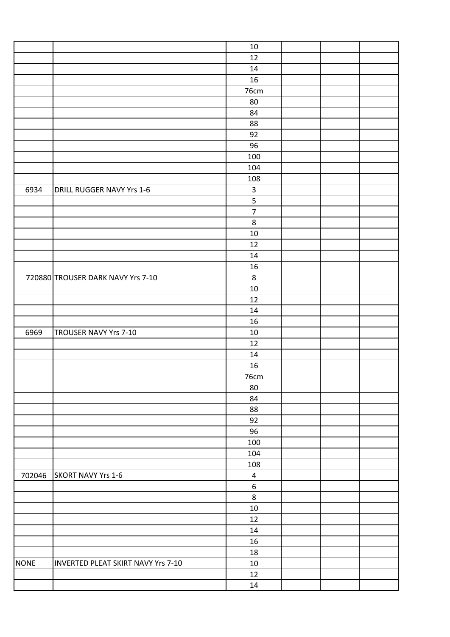|             |                                    | 10               |  |  |
|-------------|------------------------------------|------------------|--|--|
|             |                                    | 12               |  |  |
|             |                                    | 14               |  |  |
|             |                                    | 16               |  |  |
|             |                                    | 76cm             |  |  |
|             |                                    | 80               |  |  |
|             |                                    | 84               |  |  |
|             |                                    | 88               |  |  |
|             |                                    | 92               |  |  |
|             |                                    | 96               |  |  |
|             |                                    | 100              |  |  |
|             |                                    | 104              |  |  |
|             |                                    | 108              |  |  |
| 6934        | DRILL RUGGER NAVY Yrs 1-6          | $\mathsf{3}$     |  |  |
|             |                                    | $\mathsf S$      |  |  |
|             |                                    | $\overline{7}$   |  |  |
|             |                                    | $\,8\,$          |  |  |
|             |                                    | $10\,$           |  |  |
|             |                                    | 12               |  |  |
|             |                                    | 14               |  |  |
|             |                                    | 16               |  |  |
|             | 720880 TROUSER DARK NAVY Yrs 7-10  | $\,8\,$          |  |  |
|             |                                    | 10               |  |  |
|             |                                    | 12               |  |  |
|             |                                    | 14               |  |  |
|             |                                    | 16               |  |  |
| 6969        | TROUSER NAVY Yrs 7-10              | $10\,$           |  |  |
|             |                                    | 12               |  |  |
|             |                                    | 14               |  |  |
|             |                                    | 16               |  |  |
|             |                                    | 76cm             |  |  |
|             |                                    | 80               |  |  |
|             |                                    | 84               |  |  |
|             |                                    | 88               |  |  |
|             |                                    | 92               |  |  |
|             |                                    | 96               |  |  |
|             |                                    | 100              |  |  |
|             |                                    | 104              |  |  |
|             |                                    | 108              |  |  |
| 702046      | <b>SKORT NAVY Yrs 1-6</b>          | $\overline{4}$   |  |  |
|             |                                    | $\boldsymbol{6}$ |  |  |
|             |                                    | $\,8\,$          |  |  |
|             |                                    | $10\,$           |  |  |
|             |                                    | 12               |  |  |
|             |                                    | 14               |  |  |
|             |                                    | 16               |  |  |
|             |                                    | 18               |  |  |
| <b>NONE</b> | INVERTED PLEAT SKIRT NAVY Yrs 7-10 | 10               |  |  |
|             |                                    | 12               |  |  |
|             |                                    | $14\,$           |  |  |
|             |                                    |                  |  |  |